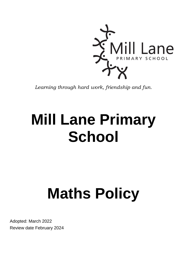

*Learning through hard work, friendship and fun.*

# **Mill Lane Primary School**

# **Maths Policy**

Adopted: March 2022 Review date February 2024